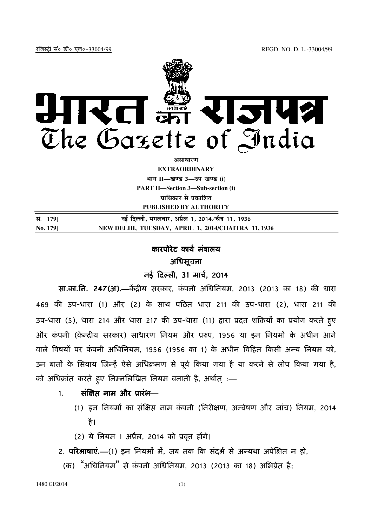

असाधार**ण EXTRAORDINARY**  $4$ **HI**<sup>T</sup> II—<br>*E*  $3$ — $3$ प- *B*  $(i)$ **PART II—Section 3—Sub-section (i) प्राधिकार से प्रकाशित PUBLISHED BY AUTHORITY**

| सं. 179] | नई दिल्ली, मंगलवार, अप्रैल 1, 2014 ∕चैत्र 11, 1936 |
|----------|----------------------------------------------------|
| No. 179  | NEW DELHI, TUESDAY, APRIL 1, 2014/CHAITRA 11, 1936 |

# कारपोरेट कार्य मंत्रालय अिधसूचना

## नई दिल्ली, 31 मार्च, 2014

**सा.का.नि. 247(अ).—**केंद्रीय सरकार, कंपनी अधिनियम, 2013 (2013 का 18) की धारा 469 की उप-धारा (1) और (2) के साथ पठित धारा 211 की उप-धारा (2), धारा 211 की उप-धारा (5), धारा 214 और धारा 217 की उप-धारा (11) द्वारा प्रदत्त शक्तियों का प्रयोग करते हुए और कंपनी (केन्द्रीय सरकार) साधारण नियम और प्ररुप, 1956 या इन नियमों के अधीन आने वाले विषयों पर कंपनी अधिनियम, 1956 (1956 का 1) के अधीन विहित किसी अन्य नियम को, उन बातों के सिवाय जिन्हें ऐसे अधिक्रमण से पूर्व किया गया है या करने से लोप किया गया है, को अधिक्रांत करते हुए निम्नलिखित नियम बनाती है, अर्थात् :—

# 1. संक्षिप्त नाम और प्रारंभ—

- (1) इन नियमों का संक्षिप्त नाम कंपनी (निरीक्षण, अन्वेषण और जांच) नियम, 2014 है।
- $(2)$  ये नियम 1 अप्रैल, 2014 को प्रवृत्त होंगे।
- 2. **परिभाषाएं.—**(1) इन नियमों में, जब तक कि संदर्भ से अन्यथा अपेक्षित न हो,
- (क) "अधिनियम" से कंपनी अधिनियम, 2013 (2013 का 18) अभिप्रेत है;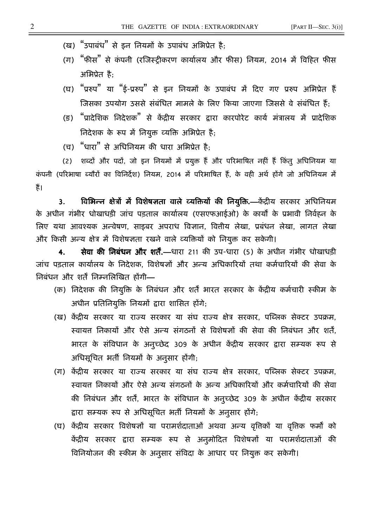(ख) "उपाबंध" से इन नियमों के उपाबंध अभिप्रेत है;

- (ग) "फीस" से कंपनी (रजिस्ट्रीकरण कार्यालय और फीस) नियम, 2014 में विहित फीस अिभूेत है;
- (घ) "प्ररुप" या "ई-प्ररुप" से इन नियमों के उपाबंध में दिए गए प्ररुप अभिप्रेत हैं जिसका उपयोग उससे संबंधित मामले के लिए किया जाएगा जिससे वे संबंधित हैं:
- (ङ) "प्रादेशिक निदेशक" से केंद्रीय सरकार द्वारा कारपोरेट कार्य मंत्रालय में प्रादेशिक तिदेशक के रूप में नियुक्त व्यक्ति अभिप्रेत है;
- (च) "धारा" से अधिनियम की धारा अभिप्रेत है:

(2) शब्दों और पदों, जो इन नियमों में प्रयुक्त हैं और परिभाषित नहीं हैं किंतु अधिनियम या कंपनी (परिभाषा ब्यौरों का विनिर्देश) नियम, 2014 में परिभाषित हैं, के वही अर्थ होंगे जो अधिनियम में हैं।

3. विभिन्न क्षेत्रों में विशेषज्ञता वाले व्यक्तियों की नियुक्ति.—केंद्रीय सरकार अधिनियम के अधीन गंभीर धोखाधड़ी जांच पड़ताल कार्यालय (एसएफआईओ) के कार्यों के प्रभावी निर्वहन के लिए यथा आवश्यक अन्वेषण, साइबर अपराध विज्ञान, वित्तीय लेखा, प्रबंधन लेखा, लागत लेखा और किसी अन्य क्षेत्र में विशेषज्ञता रखने वाले व्यक्तियों को नियुक्त कर सकेगी।

**4. सेवा की निबंधन और शर्तें.—**धारा 211 की उप-धारा (5) के अधीन गंभीर धोखाधड़ी जांच पड़ताल कार्यालय के निर्देशक, विशेषज्ञों और अन्य अधिकारियों तथा कर्मचारियों की सेवा के िनबंधन और शतf िनKनिलFखत ह9गी**—**

- (क) निदेशक की नियुक्ति के निबंधन और शर्तें भारत सरकार के केंद्रीय कर्मचारी स्कीम के अधीन प्रतिनियुक्ति नियमों द्वारा शासित होंगे;
- (ख) केंद्रीय सरकार या राज्य सरकार या संघ राज्य क्षेत्र सरकार, पब्लिक सेक्टर उपक्रम, स्वायत निकायों और ऐसे अन्य संगठनों से विशेषज्ञों की सेवा की निबंधन और शर्ते, भारत के संविधान के अनुच्छेद 309 के अधीन केंद्रीय सरकार द्वारा सम्यक रूप से अधिसूचित भर्ती नियमों के अनुसार होंगी;
- (ग) केंदीय सरकार या राज्य सरकार या संघ राज्य क्षेत्र सरकार, पब्लिक सेक्टर उपक्रम, स्वायत निकार्या और ऐसे अन्य संगठनों के अन्य अधिकारियों और कर्मचारियों की सेवा की निबंधन और शर्तें, भारत के संविधान के अनुच्छेद 309 के अधीन केंद्रीय सरकार द्वारा सम्यक रूप से अधिसूचित भर्ती नियमों के अनुसार होंगे;
- (घ) केंद्रीय सरकार विशेषज्ञों या परामर्शदाताओं अथवा अन्न्य वृत्तिकों या वृत्तिक फर्मों को केंद्रीय सरकार द्वारा सम्यक रूप से अनुमोदित विशेषज्ञों या परामर्शदाताओं की विनियोजन की स्कीम के अनुसार संविदा के आधार पर नियुक्त कर सकेगी।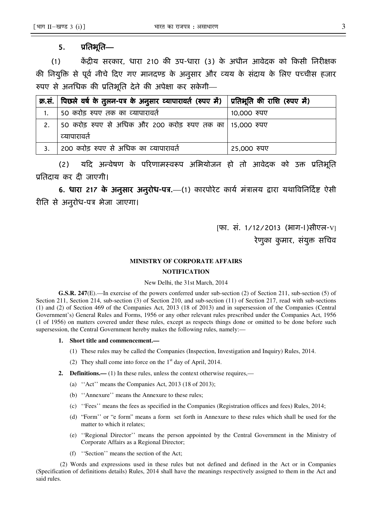### 5. प्रतिभूति—

(1) केंद्रीय सरकार, धारा 210 की उप-धारा (3) के अधीन आवेदक को किसी निरीक्षक की नियुक्ति से पूर्व नीचे दिए गए मानदण्ड के अनुसार और व्यय के संदाय के लिए पच्चीस हजार रुपए से अनधिक की प्रतिभूति देने की अपेक्षा कर सकेगी—

| क्र.सं.   पिछले वर्ष के तुलन-पत्र के अनुसार व्यापारावर्त (रुपए में)   प्रतिभूति की राशि (रुपए में) |             |
|----------------------------------------------------------------------------------------------------|-------------|
| 50 करोड़ रुपए तक का व्यापारावर्त                                                                   | 10,000 रुपए |
| 50 करोड़ रुपए से अधिक और 200 करोड़ रुपए तक का 15,000 रुपए                                          |             |
| व्यापारावते                                                                                        |             |
| 200 करोड़ रुपए से अधिक का व्यापारावर्त                                                             | 25,000 रुपए |

(2) यदि अन्वेषण के परिणामस्वरूप अभियोजन हो तो आवेदक को उक्त प्रतिभूति प्रतिदाय कर दी जाएगी।

6. धारा 217 के अनुसार अनुरोध-पत्र.—(1) कारपोरेट कार्य मंत्रालय द्वारा यथाविनिदिष्ट ऐसी रीति से अनुरोध-पत्र भेजा जाएगा।

> [फा. सं. 1/12/2013 (भाग-I)सीएल-V] रेणुका कुमार, संयुक्त सचिव

#### **MINISTRY OF CORPORATE AFFAIRS**

#### **NOTIFICATION**

#### New Delhi, the 31st March, 2014

**G.S.R. 247**(E).—In exercise of the powers conferred under sub-section (2) of Section 211, sub-section (5) of Section 211, Section 214, sub-section (3) of Section 210, and sub-section (11) of Section 217, read with sub-sections (1) and (2) of Section 469 of the Companies Act, 2013 (18 of 2013) and in supersession of the Companies (Central Government's) General Rules and Forms, 1956 or any other relevant rules prescribed under the Companies Act, 1956 (1 of 1956) on matters covered under these rules, except as respects things done or omitted to be done before such supersession, the Central Government hereby makes the following rules, namely:—

#### **1. Short title and commencement.—**

- (1) These rules may be called the Companies (Inspection, Investigation and Inquiry) Rules, 2014.
- (2) They shall come into force on the  $1<sup>st</sup>$  day of April, 2014.
- **2. Definitions.**—(1) In these rules, unless the context otherwise requires,—
	- (a) ''Act'' means the Companies Act, 2013 (18 of 2013);
	- (b) ''Annexure'' means the Annexure to these rules;
	- (c) ''Fees'' means the fees as specified in the Companies (Registration offices and fees) Rules, 2014;
	- (d) "Form'' or "e form" means a form set forth in Annexure to these rules which shall be used for the matter to which it relates;
	- (e) ''Regional Director'' means the person appointed by the Central Government in the Ministry of Corporate Affairs as a Regional Director;
	- (f) ''Section'' means the section of the Act;

(2) Words and expressions used in these rules but not defined and defined in the Act or in Companies (Specification of definitions details) Rules, 2014 shall have the meanings respectively assigned to them in the Act and said rules.